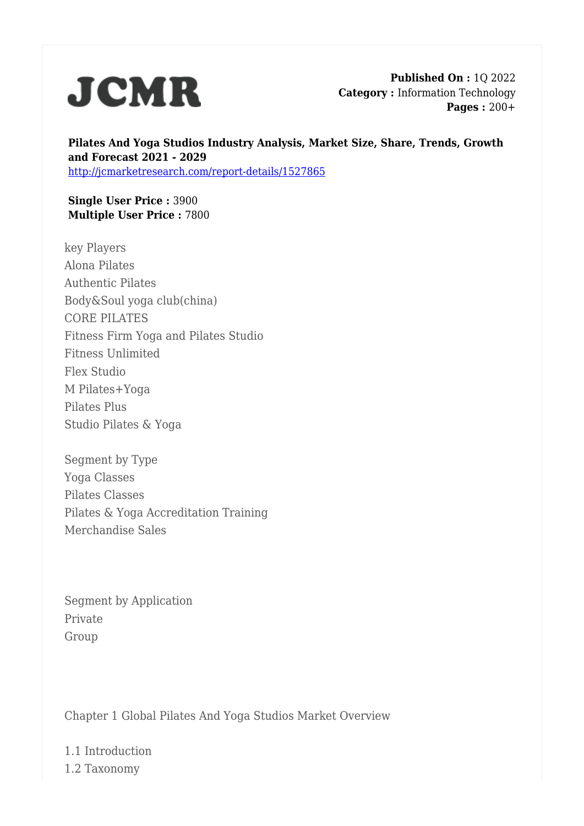

**Published On :** 1Q 2022 **Category :** Information Technology **Pages :** 200+

**Pilates And Yoga Studios Industry Analysis, Market Size, Share, Trends, Growth and Forecast 2021 - 2029** <http://jcmarketresearch.com/report-details/1527865>

**Single User Price :** 3900 **Multiple User Price :** 7800

key Players Alona Pilates Authentic Pilates Body&Soul yoga club(china) CORE PILATES Fitness Firm Yoga and Pilates Studio Fitness Unlimited Flex Studio M Pilates+Yoga Pilates Plus Studio Pilates & Yoga

Segment by Type Yoga Classes Pilates Classes Pilates & Yoga Accreditation Training Merchandise Sales

Segment by Application Private Group

Chapter 1 Global Pilates And Yoga Studios Market Overview

1.1 Introduction 1.2 Taxonomy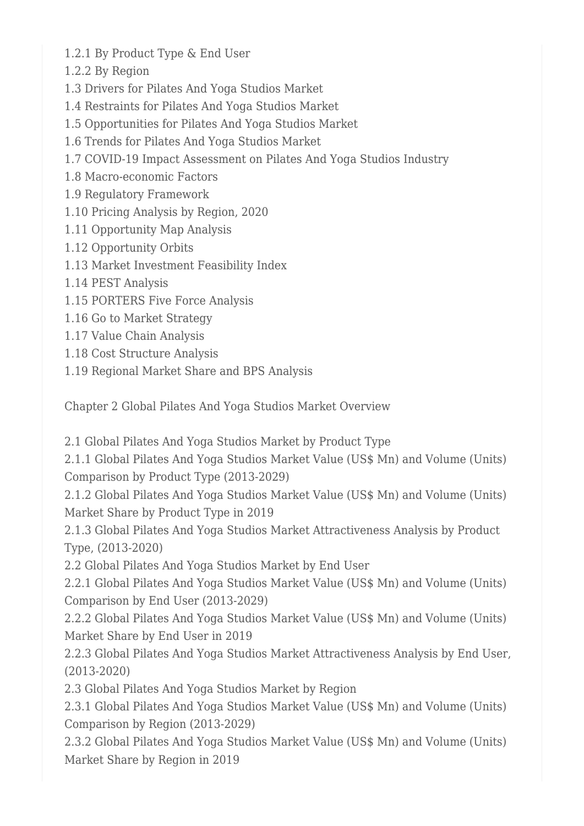- 1.2.1 By Product Type & End User
- 1.2.2 By Region
- 1.3 Drivers for Pilates And Yoga Studios Market
- 1.4 Restraints for Pilates And Yoga Studios Market
- 1.5 Opportunities for Pilates And Yoga Studios Market
- 1.6 Trends for Pilates And Yoga Studios Market
- 1.7 COVID-19 Impact Assessment on Pilates And Yoga Studios Industry
- 1.8 Macro-economic Factors
- 1.9 Regulatory Framework
- 1.10 Pricing Analysis by Region, 2020
- 1.11 Opportunity Map Analysis
- 1.12 Opportunity Orbits
- 1.13 Market Investment Feasibility Index
- 1.14 PEST Analysis
- 1.15 PORTERS Five Force Analysis
- 1.16 Go to Market Strategy
- 1.17 Value Chain Analysis
- 1.18 Cost Structure Analysis
- 1.19 Regional Market Share and BPS Analysis

Chapter 2 Global Pilates And Yoga Studios Market Overview

2.1 Global Pilates And Yoga Studios Market by Product Type

2.1.1 Global Pilates And Yoga Studios Market Value (US\$ Mn) and Volume (Units) Comparison by Product Type (2013-2029)

2.1.2 Global Pilates And Yoga Studios Market Value (US\$ Mn) and Volume (Units) Market Share by Product Type in 2019

2.1.3 Global Pilates And Yoga Studios Market Attractiveness Analysis by Product Type, (2013-2020)

2.2 Global Pilates And Yoga Studios Market by End User

2.2.1 Global Pilates And Yoga Studios Market Value (US\$ Mn) and Volume (Units) Comparison by End User (2013-2029)

2.2.2 Global Pilates And Yoga Studios Market Value (US\$ Mn) and Volume (Units) Market Share by End User in 2019

2.2.3 Global Pilates And Yoga Studios Market Attractiveness Analysis by End User, (2013-2020)

2.3 Global Pilates And Yoga Studios Market by Region

2.3.1 Global Pilates And Yoga Studios Market Value (US\$ Mn) and Volume (Units) Comparison by Region (2013-2029)

2.3.2 Global Pilates And Yoga Studios Market Value (US\$ Mn) and Volume (Units) Market Share by Region in 2019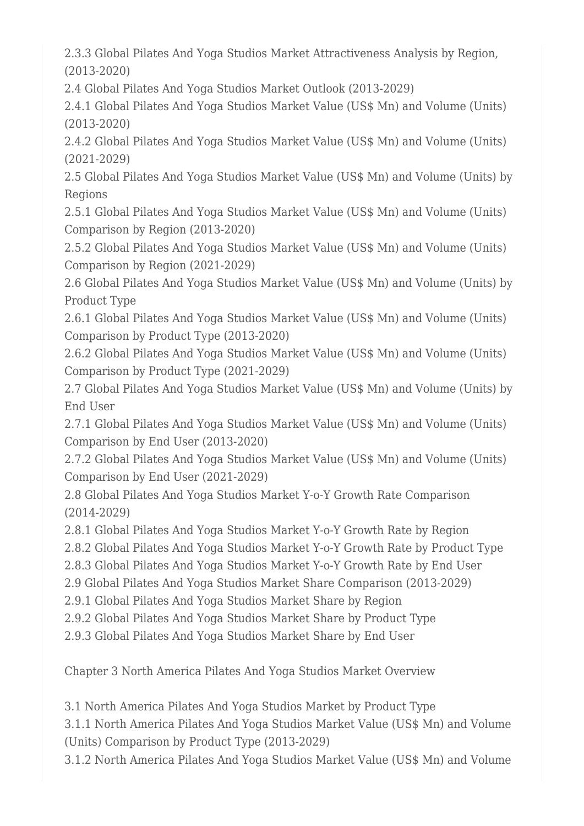2.3.3 Global Pilates And Yoga Studios Market Attractiveness Analysis by Region, (2013-2020)

2.4 Global Pilates And Yoga Studios Market Outlook (2013-2029)

2.4.1 Global Pilates And Yoga Studios Market Value (US\$ Mn) and Volume (Units) (2013-2020)

2.4.2 Global Pilates And Yoga Studios Market Value (US\$ Mn) and Volume (Units) (2021-2029)

2.5 Global Pilates And Yoga Studios Market Value (US\$ Mn) and Volume (Units) by Regions

2.5.1 Global Pilates And Yoga Studios Market Value (US\$ Mn) and Volume (Units) Comparison by Region (2013-2020)

2.5.2 Global Pilates And Yoga Studios Market Value (US\$ Mn) and Volume (Units) Comparison by Region (2021-2029)

2.6 Global Pilates And Yoga Studios Market Value (US\$ Mn) and Volume (Units) by Product Type

2.6.1 Global Pilates And Yoga Studios Market Value (US\$ Mn) and Volume (Units) Comparison by Product Type (2013-2020)

2.6.2 Global Pilates And Yoga Studios Market Value (US\$ Mn) and Volume (Units) Comparison by Product Type (2021-2029)

2.7 Global Pilates And Yoga Studios Market Value (US\$ Mn) and Volume (Units) by End User

2.7.1 Global Pilates And Yoga Studios Market Value (US\$ Mn) and Volume (Units) Comparison by End User (2013-2020)

2.7.2 Global Pilates And Yoga Studios Market Value (US\$ Mn) and Volume (Units) Comparison by End User (2021-2029)

2.8 Global Pilates And Yoga Studios Market Y-o-Y Growth Rate Comparison (2014-2029)

2.8.1 Global Pilates And Yoga Studios Market Y-o-Y Growth Rate by Region

2.8.2 Global Pilates And Yoga Studios Market Y-o-Y Growth Rate by Product Type

2.8.3 Global Pilates And Yoga Studios Market Y-o-Y Growth Rate by End User

2.9 Global Pilates And Yoga Studios Market Share Comparison (2013-2029)

2.9.1 Global Pilates And Yoga Studios Market Share by Region

2.9.2 Global Pilates And Yoga Studios Market Share by Product Type

2.9.3 Global Pilates And Yoga Studios Market Share by End User

Chapter 3 North America Pilates And Yoga Studios Market Overview

3.1 North America Pilates And Yoga Studios Market by Product Type

3.1.1 North America Pilates And Yoga Studios Market Value (US\$ Mn) and Volume (Units) Comparison by Product Type (2013-2029)

3.1.2 North America Pilates And Yoga Studios Market Value (US\$ Mn) and Volume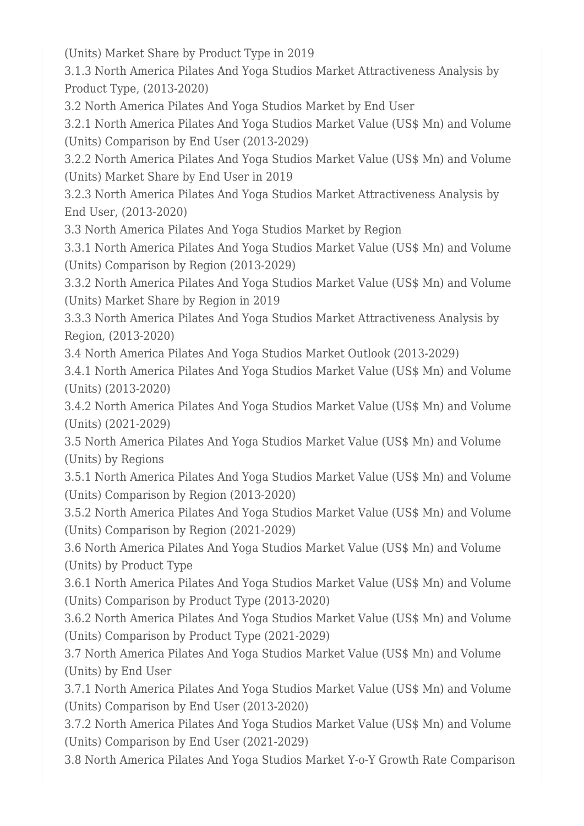(Units) Market Share by Product Type in 2019

3.1.3 North America Pilates And Yoga Studios Market Attractiveness Analysis by Product Type, (2013-2020)

3.2 North America Pilates And Yoga Studios Market by End User

3.2.1 North America Pilates And Yoga Studios Market Value (US\$ Mn) and Volume (Units) Comparison by End User (2013-2029)

3.2.2 North America Pilates And Yoga Studios Market Value (US\$ Mn) and Volume (Units) Market Share by End User in 2019

3.2.3 North America Pilates And Yoga Studios Market Attractiveness Analysis by End User, (2013-2020)

3.3 North America Pilates And Yoga Studios Market by Region

3.3.1 North America Pilates And Yoga Studios Market Value (US\$ Mn) and Volume (Units) Comparison by Region (2013-2029)

3.3.2 North America Pilates And Yoga Studios Market Value (US\$ Mn) and Volume (Units) Market Share by Region in 2019

3.3.3 North America Pilates And Yoga Studios Market Attractiveness Analysis by Region, (2013-2020)

3.4 North America Pilates And Yoga Studios Market Outlook (2013-2029)

3.4.1 North America Pilates And Yoga Studios Market Value (US\$ Mn) and Volume (Units) (2013-2020)

3.4.2 North America Pilates And Yoga Studios Market Value (US\$ Mn) and Volume (Units) (2021-2029)

3.5 North America Pilates And Yoga Studios Market Value (US\$ Mn) and Volume (Units) by Regions

3.5.1 North America Pilates And Yoga Studios Market Value (US\$ Mn) and Volume (Units) Comparison by Region (2013-2020)

3.5.2 North America Pilates And Yoga Studios Market Value (US\$ Mn) and Volume (Units) Comparison by Region (2021-2029)

3.6 North America Pilates And Yoga Studios Market Value (US\$ Mn) and Volume (Units) by Product Type

3.6.1 North America Pilates And Yoga Studios Market Value (US\$ Mn) and Volume (Units) Comparison by Product Type (2013-2020)

3.6.2 North America Pilates And Yoga Studios Market Value (US\$ Mn) and Volume (Units) Comparison by Product Type (2021-2029)

3.7 North America Pilates And Yoga Studios Market Value (US\$ Mn) and Volume (Units) by End User

3.7.1 North America Pilates And Yoga Studios Market Value (US\$ Mn) and Volume (Units) Comparison by End User (2013-2020)

3.7.2 North America Pilates And Yoga Studios Market Value (US\$ Mn) and Volume (Units) Comparison by End User (2021-2029)

3.8 North America Pilates And Yoga Studios Market Y-o-Y Growth Rate Comparison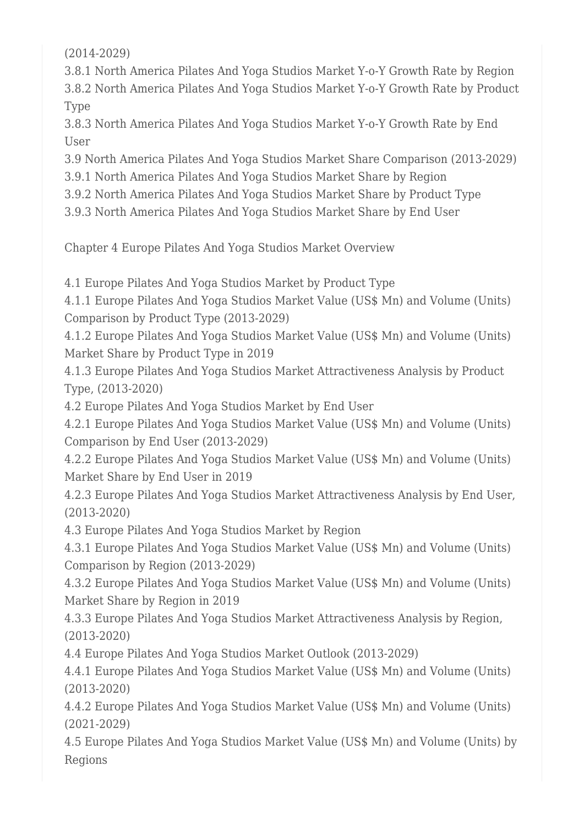(2014-2029)

3.8.1 North America Pilates And Yoga Studios Market Y-o-Y Growth Rate by Region 3.8.2 North America Pilates And Yoga Studios Market Y-o-Y Growth Rate by Product Type

3.8.3 North America Pilates And Yoga Studios Market Y-o-Y Growth Rate by End User

3.9 North America Pilates And Yoga Studios Market Share Comparison (2013-2029)

3.9.1 North America Pilates And Yoga Studios Market Share by Region

3.9.2 North America Pilates And Yoga Studios Market Share by Product Type

3.9.3 North America Pilates And Yoga Studios Market Share by End User

Chapter 4 Europe Pilates And Yoga Studios Market Overview

4.1 Europe Pilates And Yoga Studios Market by Product Type

4.1.1 Europe Pilates And Yoga Studios Market Value (US\$ Mn) and Volume (Units) Comparison by Product Type (2013-2029)

4.1.2 Europe Pilates And Yoga Studios Market Value (US\$ Mn) and Volume (Units) Market Share by Product Type in 2019

4.1.3 Europe Pilates And Yoga Studios Market Attractiveness Analysis by Product Type, (2013-2020)

4.2 Europe Pilates And Yoga Studios Market by End User

4.2.1 Europe Pilates And Yoga Studios Market Value (US\$ Mn) and Volume (Units) Comparison by End User (2013-2029)

4.2.2 Europe Pilates And Yoga Studios Market Value (US\$ Mn) and Volume (Units) Market Share by End User in 2019

4.2.3 Europe Pilates And Yoga Studios Market Attractiveness Analysis by End User, (2013-2020)

4.3 Europe Pilates And Yoga Studios Market by Region

4.3.1 Europe Pilates And Yoga Studios Market Value (US\$ Mn) and Volume (Units) Comparison by Region (2013-2029)

4.3.2 Europe Pilates And Yoga Studios Market Value (US\$ Mn) and Volume (Units) Market Share by Region in 2019

4.3.3 Europe Pilates And Yoga Studios Market Attractiveness Analysis by Region, (2013-2020)

4.4 Europe Pilates And Yoga Studios Market Outlook (2013-2029)

4.4.1 Europe Pilates And Yoga Studios Market Value (US\$ Mn) and Volume (Units) (2013-2020)

4.4.2 Europe Pilates And Yoga Studios Market Value (US\$ Mn) and Volume (Units) (2021-2029)

4.5 Europe Pilates And Yoga Studios Market Value (US\$ Mn) and Volume (Units) by Regions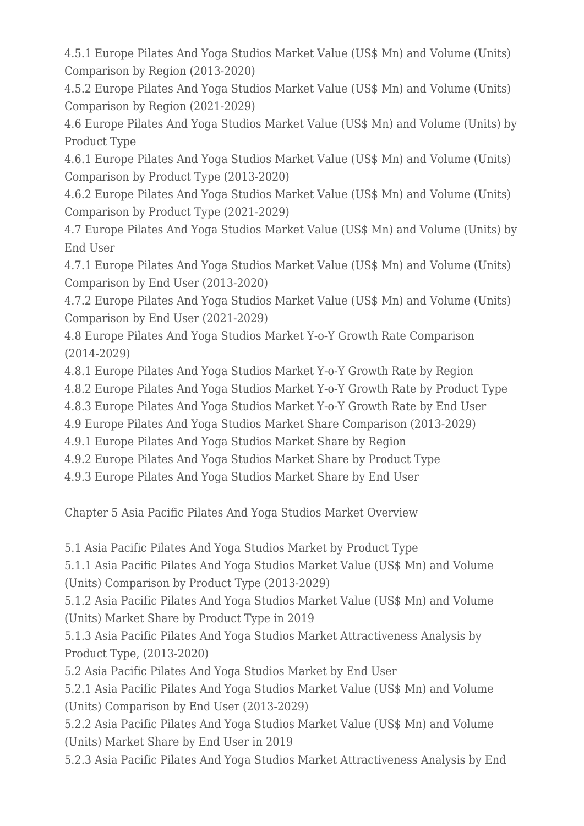4.5.1 Europe Pilates And Yoga Studios Market Value (US\$ Mn) and Volume (Units) Comparison by Region (2013-2020)

4.5.2 Europe Pilates And Yoga Studios Market Value (US\$ Mn) and Volume (Units) Comparison by Region (2021-2029)

4.6 Europe Pilates And Yoga Studios Market Value (US\$ Mn) and Volume (Units) by Product Type

4.6.1 Europe Pilates And Yoga Studios Market Value (US\$ Mn) and Volume (Units) Comparison by Product Type (2013-2020)

4.6.2 Europe Pilates And Yoga Studios Market Value (US\$ Mn) and Volume (Units) Comparison by Product Type (2021-2029)

4.7 Europe Pilates And Yoga Studios Market Value (US\$ Mn) and Volume (Units) by End User

4.7.1 Europe Pilates And Yoga Studios Market Value (US\$ Mn) and Volume (Units) Comparison by End User (2013-2020)

4.7.2 Europe Pilates And Yoga Studios Market Value (US\$ Mn) and Volume (Units) Comparison by End User (2021-2029)

4.8 Europe Pilates And Yoga Studios Market Y-o-Y Growth Rate Comparison (2014-2029)

4.8.1 Europe Pilates And Yoga Studios Market Y-o-Y Growth Rate by Region

4.8.2 Europe Pilates And Yoga Studios Market Y-o-Y Growth Rate by Product Type

4.8.3 Europe Pilates And Yoga Studios Market Y-o-Y Growth Rate by End User

4.9 Europe Pilates And Yoga Studios Market Share Comparison (2013-2029)

4.9.1 Europe Pilates And Yoga Studios Market Share by Region

4.9.2 Europe Pilates And Yoga Studios Market Share by Product Type

4.9.3 Europe Pilates And Yoga Studios Market Share by End User

Chapter 5 Asia Pacific Pilates And Yoga Studios Market Overview

5.1 Asia Pacific Pilates And Yoga Studios Market by Product Type

5.1.1 Asia Pacific Pilates And Yoga Studios Market Value (US\$ Mn) and Volume (Units) Comparison by Product Type (2013-2029)

5.1.2 Asia Pacific Pilates And Yoga Studios Market Value (US\$ Mn) and Volume (Units) Market Share by Product Type in 2019

5.1.3 Asia Pacific Pilates And Yoga Studios Market Attractiveness Analysis by Product Type, (2013-2020)

5.2 Asia Pacific Pilates And Yoga Studios Market by End User

5.2.1 Asia Pacific Pilates And Yoga Studios Market Value (US\$ Mn) and Volume (Units) Comparison by End User (2013-2029)

5.2.2 Asia Pacific Pilates And Yoga Studios Market Value (US\$ Mn) and Volume (Units) Market Share by End User in 2019

5.2.3 Asia Pacific Pilates And Yoga Studios Market Attractiveness Analysis by End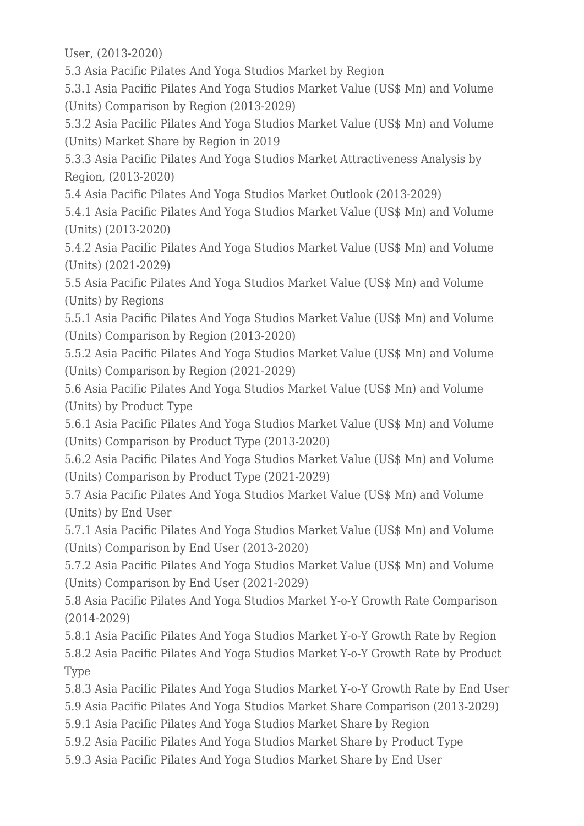User, (2013-2020)

5.3 Asia Pacific Pilates And Yoga Studios Market by Region

5.3.1 Asia Pacific Pilates And Yoga Studios Market Value (US\$ Mn) and Volume (Units) Comparison by Region (2013-2029)

5.3.2 Asia Pacific Pilates And Yoga Studios Market Value (US\$ Mn) and Volume (Units) Market Share by Region in 2019

5.3.3 Asia Pacific Pilates And Yoga Studios Market Attractiveness Analysis by Region, (2013-2020)

5.4 Asia Pacific Pilates And Yoga Studios Market Outlook (2013-2029)

5.4.1 Asia Pacific Pilates And Yoga Studios Market Value (US\$ Mn) and Volume (Units) (2013-2020)

5.4.2 Asia Pacific Pilates And Yoga Studios Market Value (US\$ Mn) and Volume (Units) (2021-2029)

5.5 Asia Pacific Pilates And Yoga Studios Market Value (US\$ Mn) and Volume (Units) by Regions

5.5.1 Asia Pacific Pilates And Yoga Studios Market Value (US\$ Mn) and Volume (Units) Comparison by Region (2013-2020)

5.5.2 Asia Pacific Pilates And Yoga Studios Market Value (US\$ Mn) and Volume (Units) Comparison by Region (2021-2029)

5.6 Asia Pacific Pilates And Yoga Studios Market Value (US\$ Mn) and Volume (Units) by Product Type

5.6.1 Asia Pacific Pilates And Yoga Studios Market Value (US\$ Mn) and Volume (Units) Comparison by Product Type (2013-2020)

5.6.2 Asia Pacific Pilates And Yoga Studios Market Value (US\$ Mn) and Volume (Units) Comparison by Product Type (2021-2029)

5.7 Asia Pacific Pilates And Yoga Studios Market Value (US\$ Mn) and Volume (Units) by End User

5.7.1 Asia Pacific Pilates And Yoga Studios Market Value (US\$ Mn) and Volume (Units) Comparison by End User (2013-2020)

5.7.2 Asia Pacific Pilates And Yoga Studios Market Value (US\$ Mn) and Volume (Units) Comparison by End User (2021-2029)

5.8 Asia Pacific Pilates And Yoga Studios Market Y-o-Y Growth Rate Comparison (2014-2029)

5.8.1 Asia Pacific Pilates And Yoga Studios Market Y-o-Y Growth Rate by Region 5.8.2 Asia Pacific Pilates And Yoga Studios Market Y-o-Y Growth Rate by Product Type

5.8.3 Asia Pacific Pilates And Yoga Studios Market Y-o-Y Growth Rate by End User 5.9 Asia Pacific Pilates And Yoga Studios Market Share Comparison (2013-2029)

5.9.1 Asia Pacific Pilates And Yoga Studios Market Share by Region

5.9.2 Asia Pacific Pilates And Yoga Studios Market Share by Product Type

5.9.3 Asia Pacific Pilates And Yoga Studios Market Share by End User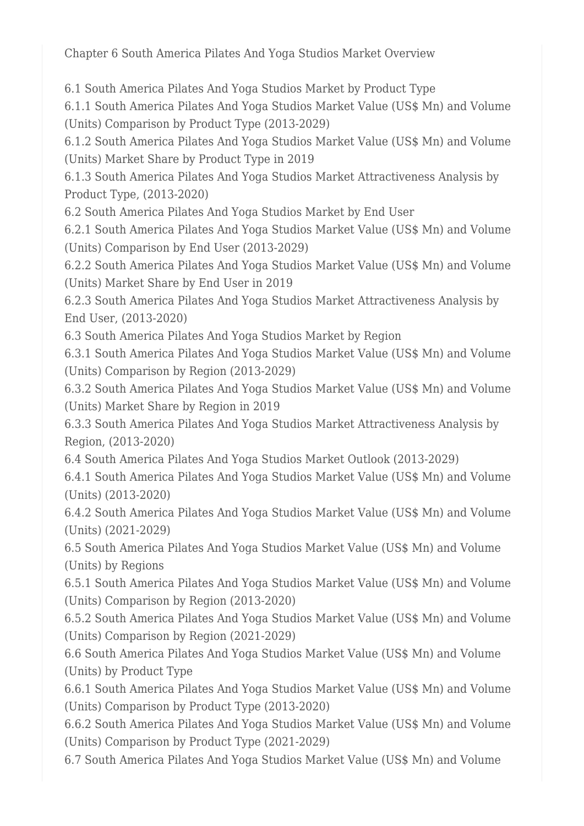Chapter 6 South America Pilates And Yoga Studios Market Overview

6.1 South America Pilates And Yoga Studios Market by Product Type

6.1.1 South America Pilates And Yoga Studios Market Value (US\$ Mn) and Volume (Units) Comparison by Product Type (2013-2029)

6.1.2 South America Pilates And Yoga Studios Market Value (US\$ Mn) and Volume (Units) Market Share by Product Type in 2019

6.1.3 South America Pilates And Yoga Studios Market Attractiveness Analysis by Product Type, (2013-2020)

6.2 South America Pilates And Yoga Studios Market by End User

6.2.1 South America Pilates And Yoga Studios Market Value (US\$ Mn) and Volume (Units) Comparison by End User (2013-2029)

6.2.2 South America Pilates And Yoga Studios Market Value (US\$ Mn) and Volume (Units) Market Share by End User in 2019

6.2.3 South America Pilates And Yoga Studios Market Attractiveness Analysis by End User, (2013-2020)

6.3 South America Pilates And Yoga Studios Market by Region

6.3.1 South America Pilates And Yoga Studios Market Value (US\$ Mn) and Volume (Units) Comparison by Region (2013-2029)

6.3.2 South America Pilates And Yoga Studios Market Value (US\$ Mn) and Volume (Units) Market Share by Region in 2019

6.3.3 South America Pilates And Yoga Studios Market Attractiveness Analysis by Region, (2013-2020)

6.4 South America Pilates And Yoga Studios Market Outlook (2013-2029)

6.4.1 South America Pilates And Yoga Studios Market Value (US\$ Mn) and Volume (Units) (2013-2020)

6.4.2 South America Pilates And Yoga Studios Market Value (US\$ Mn) and Volume (Units) (2021-2029)

6.5 South America Pilates And Yoga Studios Market Value (US\$ Mn) and Volume (Units) by Regions

6.5.1 South America Pilates And Yoga Studios Market Value (US\$ Mn) and Volume (Units) Comparison by Region (2013-2020)

6.5.2 South America Pilates And Yoga Studios Market Value (US\$ Mn) and Volume (Units) Comparison by Region (2021-2029)

6.6 South America Pilates And Yoga Studios Market Value (US\$ Mn) and Volume (Units) by Product Type

6.6.1 South America Pilates And Yoga Studios Market Value (US\$ Mn) and Volume (Units) Comparison by Product Type (2013-2020)

6.6.2 South America Pilates And Yoga Studios Market Value (US\$ Mn) and Volume (Units) Comparison by Product Type (2021-2029)

6.7 South America Pilates And Yoga Studios Market Value (US\$ Mn) and Volume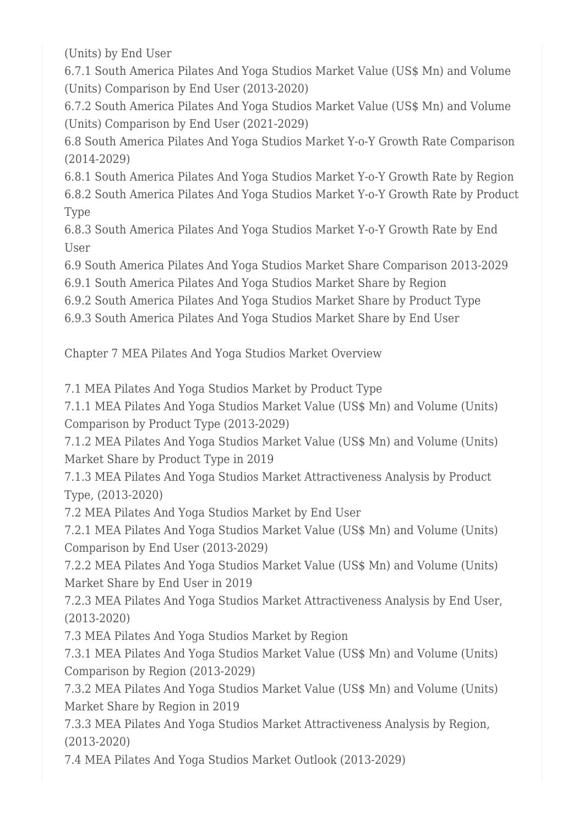(Units) by End User

6.7.1 South America Pilates And Yoga Studios Market Value (US\$ Mn) and Volume (Units) Comparison by End User (2013-2020)

6.7.2 South America Pilates And Yoga Studios Market Value (US\$ Mn) and Volume (Units) Comparison by End User (2021-2029)

6.8 South America Pilates And Yoga Studios Market Y-o-Y Growth Rate Comparison (2014-2029)

6.8.1 South America Pilates And Yoga Studios Market Y-o-Y Growth Rate by Region 6.8.2 South America Pilates And Yoga Studios Market Y-o-Y Growth Rate by Product Type

6.8.3 South America Pilates And Yoga Studios Market Y-o-Y Growth Rate by End User

6.9 South America Pilates And Yoga Studios Market Share Comparison 2013-2029

6.9.1 South America Pilates And Yoga Studios Market Share by Region

6.9.2 South America Pilates And Yoga Studios Market Share by Product Type

6.9.3 South America Pilates And Yoga Studios Market Share by End User

Chapter 7 MEA Pilates And Yoga Studios Market Overview

7.1 MEA Pilates And Yoga Studios Market by Product Type

7.1.1 MEA Pilates And Yoga Studios Market Value (US\$ Mn) and Volume (Units) Comparison by Product Type (2013-2029)

7.1.2 MEA Pilates And Yoga Studios Market Value (US\$ Mn) and Volume (Units) Market Share by Product Type in 2019

7.1.3 MEA Pilates And Yoga Studios Market Attractiveness Analysis by Product Type, (2013-2020)

7.2 MEA Pilates And Yoga Studios Market by End User

7.2.1 MEA Pilates And Yoga Studios Market Value (US\$ Mn) and Volume (Units) Comparison by End User (2013-2029)

7.2.2 MEA Pilates And Yoga Studios Market Value (US\$ Mn) and Volume (Units) Market Share by End User in 2019

7.2.3 MEA Pilates And Yoga Studios Market Attractiveness Analysis by End User, (2013-2020)

7.3 MEA Pilates And Yoga Studios Market by Region

7.3.1 MEA Pilates And Yoga Studios Market Value (US\$ Mn) and Volume (Units) Comparison by Region (2013-2029)

7.3.2 MEA Pilates And Yoga Studios Market Value (US\$ Mn) and Volume (Units) Market Share by Region in 2019

7.3.3 MEA Pilates And Yoga Studios Market Attractiveness Analysis by Region, (2013-2020)

7.4 MEA Pilates And Yoga Studios Market Outlook (2013-2029)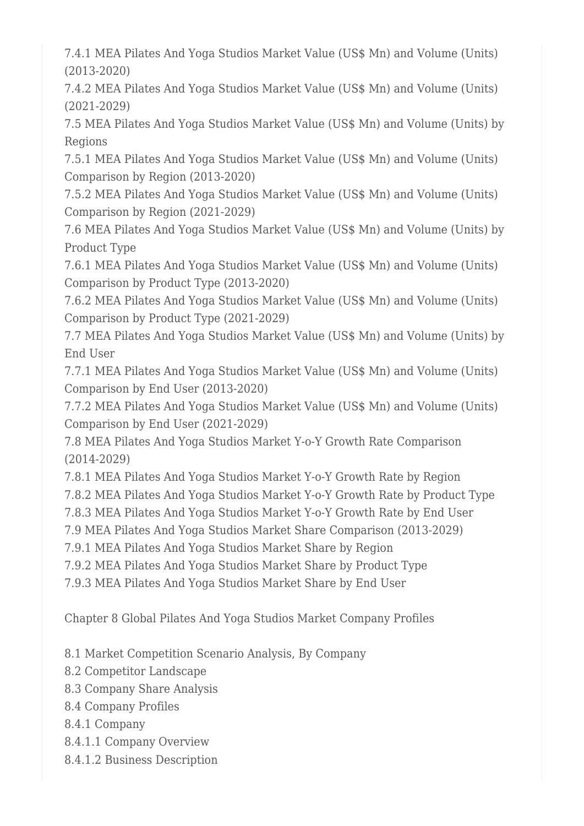7.4.1 MEA Pilates And Yoga Studios Market Value (US\$ Mn) and Volume (Units) (2013-2020)

7.4.2 MEA Pilates And Yoga Studios Market Value (US\$ Mn) and Volume (Units) (2021-2029)

7.5 MEA Pilates And Yoga Studios Market Value (US\$ Mn) and Volume (Units) by Regions

7.5.1 MEA Pilates And Yoga Studios Market Value (US\$ Mn) and Volume (Units) Comparison by Region (2013-2020)

7.5.2 MEA Pilates And Yoga Studios Market Value (US\$ Mn) and Volume (Units) Comparison by Region (2021-2029)

7.6 MEA Pilates And Yoga Studios Market Value (US\$ Mn) and Volume (Units) by Product Type

7.6.1 MEA Pilates And Yoga Studios Market Value (US\$ Mn) and Volume (Units) Comparison by Product Type (2013-2020)

7.6.2 MEA Pilates And Yoga Studios Market Value (US\$ Mn) and Volume (Units) Comparison by Product Type (2021-2029)

7.7 MEA Pilates And Yoga Studios Market Value (US\$ Mn) and Volume (Units) by End User

7.7.1 MEA Pilates And Yoga Studios Market Value (US\$ Mn) and Volume (Units) Comparison by End User (2013-2020)

7.7.2 MEA Pilates And Yoga Studios Market Value (US\$ Mn) and Volume (Units) Comparison by End User (2021-2029)

7.8 MEA Pilates And Yoga Studios Market Y-o-Y Growth Rate Comparison (2014-2029)

7.8.1 MEA Pilates And Yoga Studios Market Y-o-Y Growth Rate by Region

7.8.2 MEA Pilates And Yoga Studios Market Y-o-Y Growth Rate by Product Type

7.8.3 MEA Pilates And Yoga Studios Market Y-o-Y Growth Rate by End User

7.9 MEA Pilates And Yoga Studios Market Share Comparison (2013-2029)

7.9.1 MEA Pilates And Yoga Studios Market Share by Region

7.9.2 MEA Pilates And Yoga Studios Market Share by Product Type

7.9.3 MEA Pilates And Yoga Studios Market Share by End User

Chapter 8 Global Pilates And Yoga Studios Market Company Profiles

8.1 Market Competition Scenario Analysis, By Company

8.2 Competitor Landscape

- 8.3 Company Share Analysis
- 8.4 Company Profiles
- 8.4.1 Company
- 8.4.1.1 Company Overview
- 8.4.1.2 Business Description